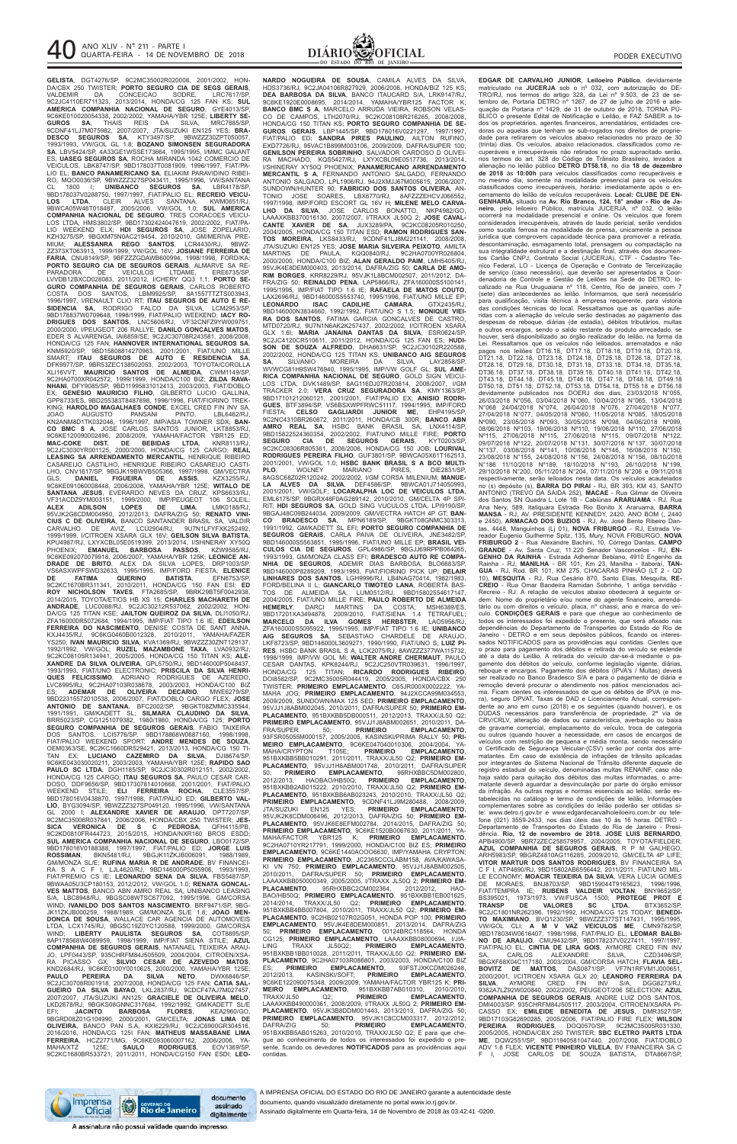

**GELISTA**, DGT4276/SP, 9C2MC35002R020008, 2001/2002, HON-DA/CBX 250 TWISTER; **PORTO SEGURO CIA DE SEGS GERAIS**, VALDEMIR DA CONCEICAO SODRE, LRC7617/SP, 9C2JC4110ER711323, 2013/2014, HONDA/CG 125 FAN KS; **SUL AMERICA COMPANHIA NACIONAL DE SEGURO**, GYE4013/SP, 9C6KE010020054338, 2002/2002, YAMAHA/YBR 125E; **LIBERTY SE-GUROS SA**, THAIS REIS DA SILVA, MRC7885/SP, 9CDNF41LJ7M075982, 2007/2007, JTA/SUZUKI EN125 YES; **BRA-DESCO SEGUROS SA**, KTY3497/SP, 9BWZZZ30ZPT050057, 1993/1993, VW/GOL GL 1.8; **BOZANO SIMONSEN SEGURADORA SA**, LBV5424/SP, 4A33GE1WSSE173664, 1995/1995, I/MMC GALANT ES; **UASEG SEGUROS SA**, ROCHA MIRANDA 1042 COMERCIO DE VEICULOS, LBK8747/SP, 9BD178037T0081909, 1996/1997, FIAT/PA-LIO EL; **BANCO PANAMERICANO SA**, ELIAKIM PARAVIDINO RIBEI-RO, MQO0036/SP, 9BWZZZ327SP043411, 1995/1996, VW/SANTANA CL 1800 I; **UNIBANCO SEGUROS SA**, LBR4178/SP, 9BD178037V0288750, 1997/1997, FIAT/PALIO EL; **RECREIO VEICU-LOS LTDA**, CLEIR ALVES SANTANA, KWM0651/RJ, 9BWCA05W46T018487, 2005/2006, VW/GOL 1.0; **SUL AMERICA COMPANHIA NACIONAL DE SEGURO**, TRES CORACOES VEICU-LOS LTDA, HMS3802/SP, 9BD17302424047619, 2002/2002, FIAT/PA-LIO WEEKEND ELX; **HDI SEGUROS SA**, JOSE ZOPELARIO, KZH3275/SP, 9BGXM75N0AC219454, 2010/2010, GM/MERIVA PRE-MIUM; **ALESSANRA REGO SANTOS**, LCR4430/RJ, 9BWZ-ZZ373XT063913, 1999/1999, VW/GOL 16V; **JOSIANE FERREIRA DE FARIA**, CNU8149/SP, 9BFZZZGDAWB600994, 1998/1998, FORD/KA; **PORTO SEGURO CIA DE SEGUROS GERAIS**, ALMARVE SA RE-PARADORA DE VEICULOS LTDAME, ERE6735/SP, LVVDB12BXCD028083, 2011/2012, I/CHERY QQ3 1,1; **PORTO SE-GURO COMPANHIA DE SEGUROS GERAIS**, CARLOS ROBERTO COSTA DOS SANTOS, LBM9925/SP, 8A1557TTZTS003943, 1996/1997, I/RENAULT CLIO RT; **ITAU SEGUROS DE AUTO E RE-SIDENCIA SA**, RODRIGO FALCO DA SILVA, LCM2953/SP, 9BD178837W0709648, 1998/1999, FIAT/PALIO WEEKEND; **IACY RO-DRIGUES DOS SANTOS**, LNC5606/RJ, VF32CNFZ9YW009751, 2000/2000, I/PEUGEOT 206 RALLYE; **DANILO GONCALVES MATOS**, EDER S ALVARENGA, IAI6859/SE, 9C2JC30708R243581, 2008/2008, HONDA/CG 125 FAN; **HANNOVER INTERNATIONAL SEGUROS SA**, KNM5920/SP, 9BD15808814270963, 2001/2001, FIAT/UNO MILLE SMART; **ITAU SEGUROS DE AUTO E RESIDENCIA SA**, DFK9977/SP, 9BR53ZEC138502053, 2002/2003, TOYOTA/COROLLA<br>XLI16VVT; MAURICIO SANTOS DE ALMEIDA, CWM1149/SP,<br>9C2HA0700XR042572, 1999/1999, HONDA/C100 BIZ; **ZILDA RAVA-**<br>NH**ANI**, DFY9085/SP, 9BD11995831012413, 2003/2003, FIAT EX; **GENESIO MAURICIO FILHO**, GILBERTO LUCIO GALLINA, GPP8733/ES, 9BD255383T8487898, 1996/1996, FIAT/FIORINO TREK-KING; **HAROLDO MAGALHAES CONDE**, EXCEL CRED FIN INV SA, JOAO AUGUSTO PANSANI PINTO, LBL6462/RJ, KN2ANM8D1TK032046, 1996/1997, IMP/ASIA TOWNER SDX; **BAN-CO BMC S A**, JOSE CARLOS SANTOS JUNIOR, LKT8853/RJ, 9C6KE120090002496, 2008/2009, YAMAHA/FACTOR YBR125 ED; **MAC-COKE DIST. DE BEBIDAS LTDA**, KNR8113/RJ, 9C2JC3030YR001125, 2000/2000, HONDA/CG 125 CARGO; **REAL LEASING SA ARRENDAMENTO MERCANTIL**, HENRIQUE RIBEIRO CASAREIJO CASTILHO, HENRIQUE RIBEIRO CASAREIJO CASTI-LHO, CNV1617/SP, 9BGJK19BWVB505366, 1997/1998, GM/VECTRA<br>GLS; DANIEL FIGUEIRA DE ASSIS, KZX3255/RJ, GLS; **DANIEL FIGUEIRA DE ASSIS**, KZX3255/RJ, 9C6KE091060008448, 2006/2006, YAMAHA/YBR 125E; **WITALO DE SANTANA JESUS**, EVERARDO NEVES DA CRUZ, KPS6633/RJ, VF31ACDZ9YM003151, 1999/2000, IMP/PEUGEOT 106 SOLEIL; **ALEX ADILSON LOPES DE LIMA**, LMK0188/RJ, 95VJK2G8CDM004950, 2012/2013, DAFRA/ZIG 50; **RENATO VINI-CIUS C DE OLIVEIRA**, BANCO SANTANDER BRASIL SA, VALDIR CARVALHO DE AVIZ, LCU2904/RJ, 9U7N1LFYFXK252492, 1999/1999, I/CITROEN XSARA GLX 16V; **GEILSON SILVA BATISTA**, KPU4987/RJ, LXYXCBL05E0519399, 2013/2014, I/SHINERAY XY50Q PHOENIX; **EMANUEL BARBOSA PASSOS**, KZW9585/RJ, 9C6KE092070079918, 2006/2007, YAMAHA/YBR 125K; **LEONICE AN-DRADE DE BRITO**, ALEX DA SILVA LOPES, DRP1003/SP, VS6ASXWPFSWD32633, 1995/1995, IMP/FORD FIESTA; **ELENICE DE FATIMA QUERINO BATISTA, E**FN6753/SP,<br>9C2KC1670BR311341, 2010/2011, HONDA/CG 150 FAN ESI; ED<br>ROY NICHOLSON TAVES, FTA2685/SP, 9BRK29BT5F0042938,<br>2014/2015, TOYOTA/ETIOS HB XS 15; CHARLES MACHARETH DE **ANDRADE**, LUC0088/RJ, 9C2JC30212R537062, 2002/2002, HON-DA/CG 125 TITAN KSE; **JAILTON QUEIROZ DA SILVA**, DLI1050/RJ, ZFA160000R5072684, 1994/1995, IMP/FIAT TIPO 1.6 IE; **EDEILSON FERREIRA DO NASCIMENTO**, DENISE COSTA DE SANT ANNA, KXJ4435/RJ, 9C6KG0460B0012328, 2010/2011, YAMAHA/FAZER YS250; **IVAN MAURICIO SILVA**, KVA1369/RJ, 9BWZZZ30ZNT129137, 1992/1992, VW/GOL; **RUZEL MAZAMBONE TAXA**, LVA0932/RJ, 9C2KC08105R134941, 2005/2005, HONDA/CG 150 TITAN KS; **ALE-XANDRE DA SILVA OLIVEIRA**, GPL5750/RJ, 9BD146000P5048437, 1993/1993, FIAT/UNO ELECTRONIC; **PRISCILA DA SILVA HENRI-QUES FELICISSIMO**, ADRIANO RODRIGUES DE AZEREDO, LVC8995/RJ, 9C2HA07103R038678, 2003/2003, HONDA/C100 BIZ ES; **ADEMAR DE OLIVEIRA DECARIO**, MWE6279/SP, 9BD22315572010538, 2006/2007, FIAT/DOBLO CARGO FLEX; **JOSE ANTONIO DE SANTANA**, BFC2002/SP, 9BGKT08ZMMC335544, 1991/1991, GM/KADETT SL; **SILMARA CLAUDINO DA SILVA**, BRR5023/SP, CG1251079382, 1980/1980, HONDA/CG 125; **PORTO SEGURO COMPANHIA DE SEGUROS GERAIS**, FABIO TAIXEIRA DOS SANTOS, LCI5776/SP, 9BD178868W0687160, 1998/1998, FIAT/PALIO WEEKEND SPORT; **ANDRE MENDES DE SOUZA**, OEM0363/SE, 9C2KC1660DR529421, 2013/2013, HONDA/CG 150 TI-TAN EX; **LUCIANO CAZEMIRO DA SILVA**, DJI8674/SP, 9C6KE043030020211, 2003/2003, YAMAHA/YBR 125E; **RAPIDO SAO PAULO SC LTDA**, DGH1185/SP, 9C2JC30302R012151, 2002/2002, HONDA/CG 125 CARGO; **ITAU SEGUROS SA**, PAULO CESAR CAR-DOSO, DDF9656/SP, 9BD17307814010668, 2001/2001, FIAT/PALIO<br>WEEKEND STILE: ELI FERREIRA ROCHA. CLE3557/SP. WEEKEND STILE: **ELI FERREIRA ROCHA**, 9BD178016V0438870, 1997/1998, FIAT/PALIO ED; **GILBERTO VAL-LIO**, BYG3094/SP, 9BWZZZ327SP049120, 1995/1996, VW/SANTANA GL 2000 I; **ALEXANDRE XAVIER DE ARAUJO**, DPT7207/SP, 9C2MC35006R037841, 2006/2006, HONDA/CBX 250 TWISTER; **JES-SICA VERONICA DE S C PEDROSA**, QFH4115/PB, 9C2KD0810FR444723, 2015/2015, HONDA/NXR160 BROS ESDD; **SUL AMERICA COMPANHIA NACIONAL DE SEGURO**, LBO0172/SP, 9BD178016V0188388, 1997/1997, FIAT/PALIO ED; **JORGE LUIS ROSSIMAN**, BKN5481/RJ, 9BGJK11ZKJB006091, 1988/1989, GM/MONZA SL/E; **RUFINA MARIA R DE ANDRADE**, BV FINANCEI-RA S A C F I, LJL4620/RJ, 9BD146000P5055906, 1993/1993, FIAT/PREMIO CS IE; **LEONARDO SENA DA SILVA**, FBS5487/SP, 9BWAA05U3CP180153, 2012/2012, VW/GOL 1.0; **RENATA GONCAL-VES MATTOS**, BANCO ABN AMRO REAL SA, UNIBANCO LEASING S/A, LBC8948/RJ, 9BGSC08WTSC677092, 1995/1996, GM/CORSA WIND; **IVANILDO DOS SANTOS NASCIMENTO**, BRF9471/SP, 9BG-JK11ZKJB000259, 1988/1989, GM/MONZA SL/E 1.8; **JOAO MEN-DONCA DE SOUSA**, WALLACE CAR AGENCIA DE AUTOMOVEIS LTDA, LCX1745/RJ, 9BGSC19Z0YC120588, 1999/2000, GM/CORSA WIND; **LIBERTY PAULISTA SEGUROS SA**, COT8895/SP, 8AP178568W4089959, 1998/1999, IMP/FIAT SIENA STILE; **AZUL COMPANHIA DE SEGUROS GERAIS**, NATANAEL TEIXEIRA ARAU-JO, LPF0443/SP, 935CHRFM84J505509, 2004/2004, CITROEN/XSA-RA PICASSO GX; **SILVIO CESAR DE AZEVEDO MATOS**, KND2684/RJ, 9C6KE0100Y0010625, 2000/2000, YAMAHA/YBR 125E; **PAULO PEREIRA DA SILVA NETO**, DWX6846/SP, 9C2JC30708R001918, 2007/2008, HONDA/CG 125 FAN; **CATIA SAL-GUEIRO DA SILVA BAYAO**, LKL2837/RJ, 9CDCF47AJ7M027457, 2007/2007, JTA/SUZUKI AN125; **GRACIELE DE OLIVEIRA MELO**, LKD2678/RJ, 9BGKS08GNNC317684, 1992/1992, GM/KADETT SL/E EFI; **JACINTO BARBOSA FLORES**, KEA2960/GO, 9BGRD08Z01G104990, 2000/2001, GM/CELTA; **JONAS LIMA DE OLIVEIRA**, BANCO PAN S.A, KXI6229/RJ, 9C2JC6900GR304516, 2016/2016, HONDA/CG 125I FAN; **MATHEUS MASSABANE LIMA FERREIRA**, HCZ2771/MG, 9C6KE093060007162, 2006/2006, YA-MAHA/XTZ 125E; **SAULO RODRIGUES**, EOV1369/SP, 9C2KC1680BR533721, 2011/2011, HONDA/CG150 FAN ESDI; **LEO-**

**NARDO NOGUEIRA DE SOUSA**, CAMILA ALVES DA SILVA, HDS3736/RJ, 9C2JA04106R827929, 2006/2006, HONDA/BIZ 125 KS; **DEA BARBOSA DA SILVA**, BANCO ITAUCARD S/A, LRK9147/RJ, 9C6KE1920E0008695, 2014/2014, YAMAHA/YBR125 FACTOR K; **BANCO BMC S A**, MARCELO ARRUDA VIEIRA, ROBSON VELAS-CO DE CAMPOS, LTH2070/RJ, 9C2KC08108R216265, 2008/2008, HONDA/CG 150 TITAN KS; **PORTO SEGURO COMPANHIA DE SE-GUROS GERAIS**, LBP1445/SP, 9BD178016V0221297, 1997/1997, FIAT/PALIO ED; **SANDRA PIRES PAULINO**, AILTON RUFINO, EXD7726/RJ, 95VAC1B899M003106, 2009/2009, DAFRA/SUPER 100; **GENILSON PEREIRA SOBRINHO**, SALVADOR CARDOSO D OLIVEI-RA MACHADO, KQS5427/RJ, LXYXCBL09E0517736, 2013/2014, I/SHINERAY XY50Q PHOENIX; **PANAMERICANO ARRENDAMENTO MERCANTIL S A**, FERNANDO ANTONIO SALGADO, FERNANDO ANTONIO SALGADO, LPL1906/RJ, 94J2XMJJ67M005615, 2006/2007, SUNDOWN/HUNTER 90; **FABRICIO DOS SANTOS OLIVEIRA**, AN-TONIO JOSE SOARES, LBX6770/RJ, 8AFZZZEHCVJ066552, 1997/1998, IMP/FORD ESCORT GL 16V H; **MILENE MELO CARVA-LHO DA SILVA**, JOSE CARLOS BONATTO, NKP4982/GO, LAAAXKBB370016130, 2007/2007, I/TRAXX JL50Q 2; **JOSE CAVAL-CANTE XAVIER DE SA**, JUX3289/PA, 9C2KC08205R010250, 2004/2005, HONDA/CG 150 TITAN ESD; **RAMON RODRIGUES SAN-TOS MOREIRA**, LKS8433/RJ, 9CDNF41LJ8M221141, 2008/2008, JTA/SUZUKI EN125 YES; **JOSE MARIA SILVEIRA PEIXOTO**, AMILTA MARTINS DE PAULA, KQQ0840/RJ, 9C2HA0700YR026804, 2000/2000, HONDA/C100 BIZ; **ALAN GERALDO PAIM**, LMH5405/RJ, 95VJK4E8DEM000403, 2013/2014, DAFRA/ZIG 50; **CARLA DE AMO-RIM BORGES**, KRR8229/RJ, 95VJK1L8BCM002507, 2011/2012, DA-FRA/ZIG 50; **REINALDO PENA**, LAP5866/RJ, ZFA160000S5100141, 1995/1995, IMP/FIAT TIPO 1.6 IE; **RAFAELA DE MATOS COUTO**, LAX2696/RJ, 9BD146000S5553740, 1995/1996, FIAT/UNO MILLE EP; **LEONARDO ISAC CADILHE CAMARA**, GTX2435/RJ, 9BD146000N3834660, 1992/1992, FIAT/UNO S 1.5; **MONIQUE VIEI-RA DOS SANTOS**, FATIMA GARCIA GONCALVES DE CASTRO, MTD0720/RJ, 9U7N1N6AK2K257437, 2002/2002, I/CITROEN XSARA GLX 1.6I; **MARIA JANAINA DANTAS DA SILVA**, ESR0624/SP, 9C2JC4120CR510611, 2011/2012, HONDA/CG 125 FAN ES; **HUDI-SON DE SOUZA ALFREDO**, DHA6631/SP, 9C2JC30102R220588, 2002/2002, HONDA/CG 125 TITAN KS; **UNIBANCO AIG SEGUROS SA**, SILVANIO MOREIRA DA SILVA, LAY2858/SP, WVWCG81H9SW476940, 1995/1995, IMP/VW GOLF GL; **SUL AME-RICA COMPANHIA NACIONAL DE SEGURO**, GOLD SIGN VEICU-LOS LTDA, DVK1489/SP, 8AG116DJ07R203814, 2006/2007, I/GM TRACKER 2.0; **VERA CRUZ SEGURADORA SA**, KMY1363/SP, 9BD17101212060121, 2001/2001, FIAT/PALIO EX; **ANISIO RODRI-GUES**, BTF3894/SP, VS6BSXWPFRWC51117, 1994/1995, IMP/FORD FIESTA; **CELSO GAGLIARDI JUNIOR ME**, EHP4195/SP, 9C2NC4310BR260872, 2011/2011, HONDA/CB 300R; **BANCO ABN AMRO REAL SA**, HSBC BANK BRASIL SA, LNX4114/SP, 9BD15822524360354, 2002/2002, FIAT/UNO MILLE FIRE; **PORTO SEGURO CIA DE SEGUROS GERAIS**, KYT0203/SP, 9C2KC08306R805361, 2006/2006, HONDA/CG 150 JOB; **LOURIVAL RODRIGUES PEREIRA FILHO**, GUF3801/SP, 9BWCA05X61T162513, 2001/2001, VW/GOL 1.0; **HSBC BANK BRASIL S A BCO MULTI-PLO**, WOLNEY MARIANO PIRES, DIE2831/SP, 8AGSC68Z02R120242, 2002/2002, I/GM CORSA MILENIUM; **MANUE-LA ALVES DA SILVA**, DEF4586/SP, 9BWCA01J714050993, 2001/2001, VW/GOLF; **LOCARALPHA LOC DE VEICULOS LTDA**, EML6175/SP, 9BGRX48F0AG289142, 2010/2010, GM/CELTA 4P SPI-RIT; **HDI SEGUROS SA**, GOLD SING VUCULOS LTDA, LPI9190/SP, 9BGAJ48C09B244034, 2009/2009, GM/VECTRA HATCH 4P GT; **BAN-CO BRADESCO SA**, MPN6189/SP, 9BGKT08GNMC303313, 1991/1992, GM/KADETT SL EFI; **PORTO SEGURO COMPANHIA DE SEGUROS GERAIS**, CARLA PAIVA DE OLIVEIRA, JNE3482/SP, 9BD146000S5563851, 1995/1996, FIAT/UNO MILLE EP; **BRASIL VEI-CULOS CIA DE SEGUROS**, GPL4986/SP, 9BGJJ69RPPB064265, 1993/1993, GM/MONZA CLASS EFI; **BRADESCO AUTO RE COMPA-NHIA DE SEGUROS**, ADEMIR DIAS BARBOSA, BLO6683/SP, 9BD146000P8289209, 1993/1993, FIAT/FIORINO PICK UP; **DELAIR LINHARES DOS SANTOS**, LGH9996/RJ, LB4NAG70414, 1982/1983, FORD/BELINA II L; **GIANCARLO TIMOTEO LANA**, ROBERTA BAS-TOS DE ALMEIDA SA, LUM0512/RJ, 9BD15802554617147, 2004/2005, FIAT/UNO MILLE FIRE; **PAULO ROBERTO DE ALMEIDA HEMERLY**, DARCI MARTINS DA COSTA, MSH6389/ES, 9BD17201XA3494878, 2009/2010, FIAT/SIENA 1.4 TETRAFUEL; **MARCELO DA ILVA GOMES HERBSTER**, LAO5956/RJ, ZFA160000S5095922, 1995/1995, IMP/FIAT TIPO 1.6 IE; **UNIBANCO AIG SEGUROS SA**, SEBASTIAO CHARDELE DE ARAUJO, LKF8723/SP, 9BD146000L3609271, 1990/1990, FIAT/UNO S; **LUIZ PI-RES**, HSBC BANK BRASIL S A, LCK2075/RJ, 8AWZZZ377WA115732, 1998/1999, IMP/VW GOL MI; **WALTER ANDRE CHERMAUT**, PAULO CESAR DANTAS, KPK8244/RJ, 9C2JC250VTR039631, 1996/1997, HONDA/CG 125 TITAN; **RICARDO RODRIGUES RIBEIRO**, DOI8582/SP, 9C2MC35005R044419, 2005/2005, HONDA/CBX 250 TWISTER; **PRIMEIRO EMPLACAMENTO**, C65JR000X0002222, YA-MAHA JOG; **PRIMEIRO EMPLACAMENTO**, 94J2XCCA99M034553, 2009/2009, SUNDOWN/MAX 125 SED; **PRIMEIRO EMPLACAMENTO**, 95VJJ1J8ABM002045, 2010/2011, DAFRA/SUPER 50; **PRIMEIRO EM-PLACAMENTO**, 951BXKBB5DB000511, 2012/2013, TRAXX/JL50 Q2; **PRIMEIRO EMPLACAMENTO**, 95VJJ1J8ABM002651, 2010/2011, DA-FRA/SUPER 50; **PRIMEIRO EMPLACAMENTO**, 93FSR05055M000157, 2005/2005, KASINSKI/PRIMA RALLY 50; **PRI-MEIRO EMPLACAMENTO**, 9C6KE047040010306, 2004/2004, YA-MAHA/CRYPTON T105E; **PRIMEIRO EMPLACAMENTO**, 951BXKBB5BB010291, 2011/2011, TRAXX/JL50 Q2; **PRIMEIRO EM-PLACAMENTO**, 95VJJ1H8ABM001748, 2010/2011, DAFRA/SUPER 50; **PRIMEIRO EMPLACAMENTO**, 95RHXBBC5DM002800, 2012/2013, HAOBAO/HB50Q; **PRIMEIRO EMPLACAMENTO**, 951BXKBB2AB015222, 2010/2010, TRAXX/JL50 Q2; **PRIMEIRO EM-PLACAMENTO**, 951BXKBB6AB023243, 2010/2010, TRAXX/JL50 Q2; **PRIMEIRO EMPLACAMENTO**, 9CDNF41LJ9M280488, 2008/2009, JTA/SUZUKI EN125 YES; **PRIMEIRO EMPLACAMENTO**, 95VJK2K8CDM006496, 2012/2013, DAFRA/ZIG 50; **PRIMEIRO EM-PLACAMENTO**, 95VJK6E8EFM002784, 2014/2015, DAFRA/ZIG 50; **PRIMEIRO EMPLACAMENTO**, 9C6KE1520B0067630, 2011/2011, YA-MAHA/FACTOR YBR125 K; **PRIMEIRO EMPLACAMENTO**, 9C2HA0710YR217791, 1999/2000, HONDA/C100 BIZ ES; **PRIMEIRO EMPLACAMENTO**, 9C6KE1440AOOO6630, IMP/YAMAHA CRYPTON; **PRIMEIRO EMPLACAMENTO**, JC2365CCCLABM158, AVA/KAWASA-KI VN 750; **PRIMEIRO EMPLACAMENTO**, 95VJJ1J8ABM002505, 2010/2011, DAFRA/SUPER 50; **PRIMEIRO EMPLACAMENTO**, LAAAXKBB050000349, 2005/2005, I/TRAXX JL50Q 2; **PRIMEIRO EM-PLACAMENTO**, 95RHXBBC2CM002364, 2012/2012, HAO-BAO/HB50Q; **PRIMEIRO EMPLACAMENTO**, 951BXKBB1EB001625, 2014/2014, TRAXX/JL50 Q2; **PRIMEIRO EMPLACAMENTO**, 951BXKBB4BB007804, 2010/2011, TRAXX/JL50 Q2; **PRIMEIRO EM-PLACAMENTO**, 9C2HB02107R02G051, HONDA POP 100; **PRIMEIRO EMPLACAMENTO**, 95VJK4E8DEM000851, 2013/2014, DAFRA/ZIG 50; **PRIMEIRO EMPLACAMENTO**, 00124BRC118564, HONDA CG125; **PRIMEIRO EMPLACAMENTO**, LAAAXKBB08000694, I/JIA-LING TRAXX JL50Q2; **PRIMEIRO EMPLACAMENTO**, 951BXKBB1BB010028, 2011/2011, TRAXX/JL50 Q2; **PRIMEIRO EM-PLACAMENTO**, 9C2HA07103R086801, 2003/2003, HONDA/C100 BIZ ES; **PRIMEIRO EMPLACAMENTO**, 93FSTJXKCDM026248, 2012/2013, KASINSKI/SOFT; **PRIMEIRO EMPLACAMENTO**, 9C6KE122090075348, 2009/2009, YAMAHA/FACTOR YBR125 K; **PRI-MEIRO EMPLACAMENTO**, 951BXKBB7AB010310, 2010/2010, TRAXX/JL50 Q2; **PRIMEIRO EMPLACAMENTO**, LAAAXKBB490000361, 2008/2009, I/TRAXX JL50Q 2; **PRIMEIRO EM-PLACAMENTO**, 95VJK3B8DDM001443, 2013/2013, DAFRA/ZIG 50; **PRIMEIRO EMPLACAMENTO**, 95VJK1C8CCM003317, 2012/2012, DAFRA/ZIG 50; **PRIMEIRO EMPLACAMENTO**, 951BXKBB5AB015263, 2010/2010, TRAXX/JL50 Q2; E para que chegue ao conhecimento de todos os interessados foi expedido o presente, ficando os devedores **NOTIFICADOS** para as providências aqui contidas.

**EDGAR DE CARVALHO JUNIOR**, **Leiloeiro Público**, devidamente matriculado na **JUCERJA** sob o nº 032, com autorização do DE-TRO/RJ, nos termos do artigo 328, da Lei nº 9.503, de 23 de se-tembro de, Portaria DETRO nº 1267, de 27 de julho de 2016 e adequação da Portaria nº 1429, de 31 de outubro de 2018, TORNA PÚ-BLICO o presente Edital de Notificação e Leilão, e FAZ SABER a todos os proprietários, agentes financeiros, arrendatários, entidades credoras ou aquelas que tenham se sub-rogados nos direitos de proprie-dade para retirarem os veículos abaixo relacionados no prazo de 30 (trinta) dias. Os veículos, abaixo relacionados, classificados como recuperáveis e irrecuperáveis não retirados no prazo supracitado serão, nos termos do art. 328 do Código de Trânsito Brasileiro, levados a alienação no leilão público **DETRO DT58.18**, no dia **18 de dezembro de 2018** às **10:00h** para veículos classificados como recuperáveis e no mesmo dia, somente na modalidade presencial para os veículos classificados como irrecuperáveis, horário: imediatamente após o encerramento do leilão de veículos recuperáveis. **Local: CLUBE DE EN-GENHARIA,** situado na **Av. Rio Branco, 124, 18° andar - Rio de Janeiro**, pelo leiloeiro Público, matrícula JUCERJA, nº 032. O leilão ocorrerá na modalidade presencial e online. Os veículos que forem considerados irrecuperáveis, através do laudo pericial, serão vendidos como sucata ferrosa na modalidade de prensa, unicamente a pessoa jurídica que comprovem capacidade técnica para promover a retirada, descontaminação, esmagamento total, prensagem ou compactação na sua integralidade estrutural e a destinação final, através dos documentos Cartão CNPJ, Contrato Social (JUCERJA), CTF - Cadastro Técnico Federal, LO - Licença de Operação e Contrato de Terceirização de serviço (caso necessário), que deverão ser apresentados a Coor-denadoria de Controle e Gestão de Leilões na Sede do DETRO, localizado na Rua Uruguaiana nº 118, Centro, Rio de janeiro, com 7 (sete) dias antecedentes ao leilão. Informamos, que será necessário para qualificação, visita técnica à empresa requerente, para vistoria das condições técnicas do local. Ressaltamos que as quantias auferidas com a alienação do veículo serão destinadas ao pagamento das despesas de reboque, diárias (de estadia), débitos tributários, multas e outros encargos, sendo o saldo restante do produto arrecadado, se houver, será disponibilizado ao órgão realizador do leilão, na forma da Lei. Ressaltamos que os veículos não leiloados, arrematados e não pagos nos leilões DT16.18, DT17.18, DT18.18, DT19.18, DT20.18, DT21.18, DT22.18, DT23.18, DT24.18, DT25.18, DT26.18, DT27.18, DT28.18, DT29.18, DT30.18, DT31.18, DT33.18, DT34.18, DT35.18, DT36.18, DT37.18, DT38.18, DT39.18, DT40.18 DT41.18, DT42.18, DT43.18, DT44.18, DT45.18, DT46.18, DT47.18, DT48.18, DT49.18 DT50.18, DT51.18, DT52.18, DT53.18, DT54.18, DT55.18 e DT56.18 devidamente publicados nos DOERJ dos dias, 23/03/2018 N°055, 26/03/2018 N°056, 03/04/2018 N°060, 10/04/2018 N°065, 13/04/2018 N°068 24/04/2018 N°074, 26/04/2018 N°076, 27/04/2018 N°077, 27/04/2018 N°077, 04/05/2018 Nº080, 11/05/2018 Nº085, 18/05/2018 Nº090, 23/05/2018 Nº093, 30/05/2018 Nº098, 04/06/2018 Nº099, 08/06/2018 Nº103, 19/06/2018 Nº110, 19/06/2018 Nº110, 27/06/2018 Nº115, 27/06/2018 Nº115, 27/06/2018 Nº115, 09/07/2018 Nº122, 09/07/2018 Nº122, 20/07/2018 N°131, 30/07/2018 N°137, 30/07/2018 N°137, 03/08/2018 Nº141, 10/08/2018 Nº146, 16/08/2018 N°150, 23/08/2018 N°155, 24/08/2018 N°156, 24/08/2018 N°156, 08/10/2018 N°186 11/10/2018 Nº189, 18/10/2018 N°193, 26/10/2018 N°199, 29/10/2018 N°200, 05/11/2018 N°204, 07/11/2018 N°206 e 09/11/2018 respectivamente, serão leiloados nesta data. Os veículos acautelados no (s) depósito (s), **BARRA DO PIRAI** - RJ, BR 393, KM 43, SANTO ANTONIO (TREVO DA SAIDA 252), **MACAE** - Rua Gilmar de Oliveira dos Santos SN Quadra L Lote 1B - Cabiúnas **ARARUAMA** - RJ, Rua Ana Nery, 589, Itatiquara Estrada Rio Bonito X Araruama, **BARRA MANSA** - RJ, AV. PRESIDENTE KENNEDY, 2420, ANO BOM (, 2440 e 2450), **ARMACAO DOS BUZIOS** - RJ, Av. José Bento Ribeiro Dantas, 4448, Manguinhos (Lj 01), **NOVA FRIBURGO** - RJ, Estrada Ve-reador Eugenio Guilherme Spitz, 135, Mury, NOVA FRIBURGO, **NOVA FRIBURGO 2** - Rua Alexandre Bachini, 10, Córrego Dantas, **CAMPO GRANDE** - Av. Santa Cruz, 11.220 Senador Vasconcelos - RJ, **EN-GENHO DA RAINHA** - Estrada Adhemar Bebiano, 4910 Engenho da Rainha - RJ, **MANILHA** - BR 101, Km 23, Manilha - Itaboraí, **TAN-GUA** - RJ, Rod. BR 101, KM 275, CHACARAS PINHÃO (LT 2 - QD 10), **MESQUITA** - RJ, Rua Cesário 870, Santo Elias, Mesquita, **RE-CREIO** - Rua Omar Bandeira Ramidan Sobrinho, 1 antiga servidão - Recreio - RJ. A relação de veículos abaixo obedecerá à seguinte ordem: Nome do proprietário e/ou nome do agente financeiro, arrendatário ou com direitos o veículo, placa, nº chassi, ano e marca do veí-<br>culo. **CONDIÇÕES GERAIS** e para que chegue ao conhecimento de<br>todos os interessados foi expedido o presente, que será afixado nas dependências do Departamento de Transportes do Estado do Rio de Janeiro - DETRO e em seus depósitos públicos, ficando os interessados NOTIFICADOS para as providências aqui contidas. Cientes que o prazo para pagamento dos débitos e retirada do veículo se estende até a data do Leilão. A retirada do veículo dar-se-á mediante o pagamento dos débitos do veículo, conforme legislação vigente, diárias, reboque e encargos. Pagamento dos débitos (IPVA's / Multas) deverá ser realizado no Banco Bradesco S/A e para o pagamento de diária e remoção deverá procurar o atendimento nos pátios mencionados acima. Ficam cientes os interessados de que os débitos de IPVA (e mora), seguro DPVAT, Taxas de DAD e Licenciamento Anual, correspondente ao ano em curso (2018) e os seguintes (quando houver), e os DUDAS necessários para transferência de propriedade, 2ª via de CRV/CRLV, alteração de dados ou característica, averbação ou baixa de gravame comercial, emplacamento do veículo, troca de categoria ou outros (quando houver a necessidade, em casos de encargos de veículos com restrição de pequena e média monta, sendo necessário o Certificado de Segurança Veicular-(CSV) serão por conta dos arre-matantes. Em caso de existência de infrações de trânsito aplicadas por integrantes do Sistema Nacional de Trânsito diferente daquele de registro estadual do veículo, denominadas multas RENAINF, caso não haja saldo para quitação dos débitos das multas informadas, o arrematante deverá aguardar a desvinculação por parte do órgão emissor da infração. As outras regras e normas essenciais ao leilão, serão estabelecidas no catálogo e termo de condições de leilão. Informações complementares sobre as condições do leilão poderão ser obtidas si-te: www.detro.rj.gov.br e www.edgardecarvalholeiloeiro.com.br ou tele-fone (021) 3559-2433, nos dias úteis das 10 às 16 horas. DETRO - Departamento de Transportes do Estado do Rio de Janeiro - Presidência. **Rio, 12 de novembro de 2018. JOSE LUIS BERNARDO**, APB4900/SP, 9BR72ZEC258579957, 2004/2005, TOYOTA/FIELDER; **AZUL COMPANHIA DE SEGUROS GERAIS**, R P M GALHEGO, ARH5983/SP, 9BGRZ4810AG116285, 2009/2010, GM/CELTA 4P LIFE; **VITOR MARTUR DOS SANTOS RODRIGUES**, BV FINANCEIRA SA C F I, ATP4690/RJ, 9BD15802AB6556442, 2011/2011, FIAT/UNO MIL-LE ECONOMY; **MOACIR TEIXEIRA DA SILVA**, VERA LUCIA GOMES DE MORAES, BNJ8703/SP, 9BD159044T9165623, 1996/1996, FIAT/TEMPRA IE; **RUBENS VALDEIR VOLTAN**, BNY9652/SP, BS395021, 1973/1973, VW/FUSCA 1500; **PROTEGE PROT E TRANSP DE VALORES SC LTDA**, BTX3652/SP, 9C2JC1801NR262396, 1992/1992, HONDA/CG 125 TODAY; **BENEDI-TO MAXIMIANO**, BVQ1230/SP, 9BWZZZ377ST147431, 1995/1995, VW/GOL CLI; **A M V VAZ VEICULOS ME**, CMN9782/SP, 9BD178034W0616407, 1998/1998, FIAT/PALIO EL; **LEOMAR BALBI-NO DE ARAUJO**, CMU9432/SP, 9BD178237V0227411, 1997/1997, FIAT/PALIO EL; **CINTIA DE LIRA GOIS**, AYMORE CRED FIN INV SA, CARLOS ALEXANDRE SILVA, CZD3496/SP, 9BGXF68X04C117180, 2003/2004, GM/CORSA HATCH; **FLAVIA SEL-**<br>**BOVITZ DE MATTOS,** DAS0871/SP, VF7N1RFVM1J000651,<br>2000/2001, I/CITROEN XSARA GLX 20; **LEANDRO FERREIRA DA**<br>SIL**VA**, AYMORE CRED FIN INV S/A, DGG8273/RJ,<br>9362A7LZ **COMPANHIA DE SEGUROS GERAIS**, ANDRE LUIZ DOS SANTOS, DMI4003/SP, 935CHRFM84J505117, 2003/2004, CITROEN/XSARA PI-CASSO EX; **EMILEIDE BENEDITA DE JESUS**, DMR3527/SP, 9BD17103G62690285, 2005/2006, FIAT/PALIO FIRE FLEX; **WILSON PEREIRA RODRIGUES**, DOQ0570/SP, 9C2MC35005R031330, 2005/2005, HONDA/CBX 250 TWISTER; **SBC ELETRO PARTS LTDA ME**, DQW2551/SP, 9BD11940581047440, 2007/2008, FIAT/DOBLO ADV 1.8 FLEX; **VICENTE PINHEIRO VILELA**, BV FINANCEIRA SA C F I, JOSE CARLOS DE SOUZA BATISTA, DTA8667/SP,



A IMPRENSA OFICIAL DO ESTADO DO RIO DE JANEIRO garante a autenticidade deste documento, quando visualizado diretamente no portal www.io.rj.gov.br. Assinado digitalmente em Quarta-feira, 14 de Novembro de 2018 às 03:42:41 -0200.

A assinatura não possui validade quando impresso.